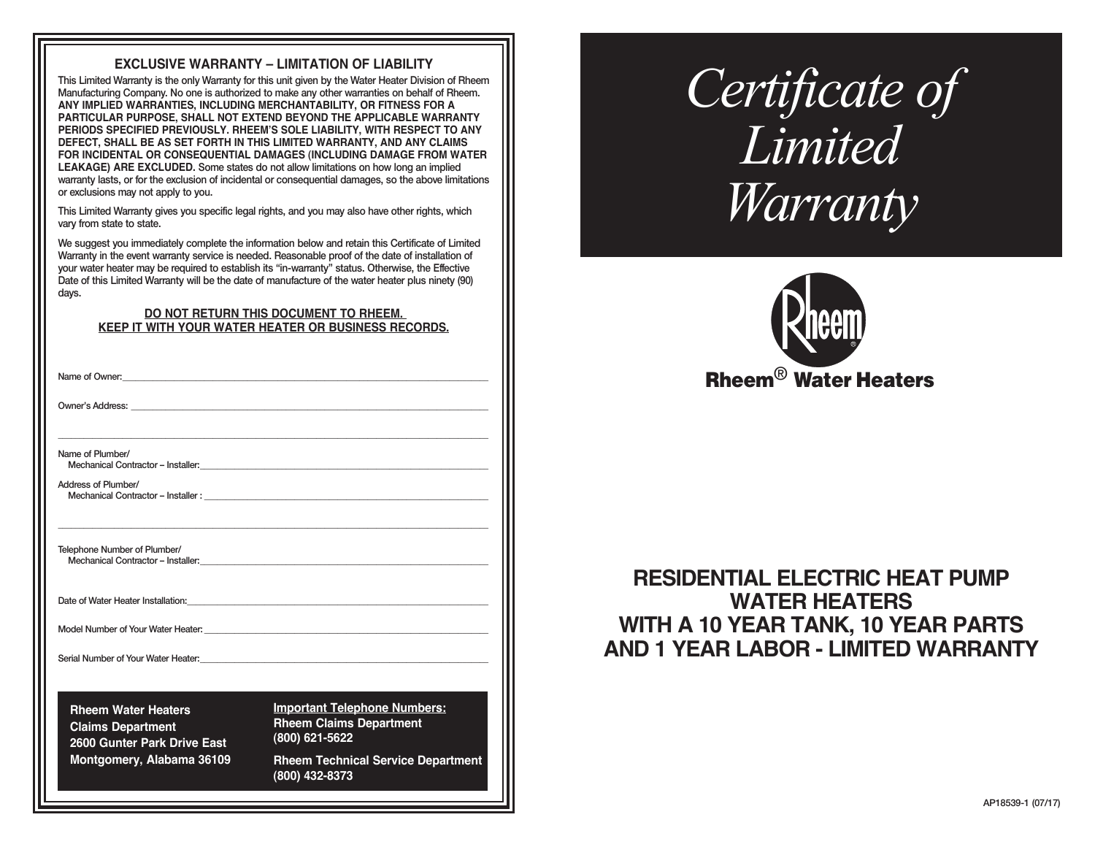## **EXCLUSIVE WARRANTY – LIMITATION OF LIABILITY**

This Limited Warranty is the only Warranty for this unit given by the Water Heater Division of Rheem Manufacturing Company. No one is authorized to make any other warranties on behalf of Rheem. **ANY IMPLIED WARRANTIES, INCLUDING MERCHANTABILITY, OR FITNESS FOR A PARTICULAR PURPOSE, SHALL NOT EXTEND BEYOND THE APPLICABLE WARRANTY PERIODS SPECIFIED PREVIOUSLY. RHEEM'S SOLE LIABILITY, WITH RESPECT TO ANY DEFECT, SHALL BE AS SET FORTH IN THIS LIMITED WARRANTY, AND ANY CLAIMS FOR INCIDENTAL OR CONSEQUENTIAL DAMAGES (INCLUDING DAMAGE FROM WATER LEAKAGE) ARE EXCLUDED.** Some states do not allow limitations on how long an implied warranty lasts, or for the exclusion of incidental or consequential damages, so the above limitations or exclusions may not apply to you.

This Limited Warranty gives you specific legal rights, and you may also have other rights, which vary from state to state.

We suggest you immediately complete the information below and retain this Certificate of Limited Warranty in the event warranty service is needed. Reasonable proof of the date of installation of your water heater may be required to establish its "in-warranty" status. Otherwise, the Effective Date of this Limited Warranty will be the date of manufacture of the water heater plus ninety (90) days.

### **DO NOT RETURN THIS DOCUMENT TO RHEEM. KEEP IT WITH YOUR WATER HEATER OR BUSINESS RECORDS.**

| Name of Owner: <u>contract and a series of the series of the series of the series of the series of the series of the series of the series of the series of the series of the series of the series of the series of the series of</u> |                                                                                         |
|--------------------------------------------------------------------------------------------------------------------------------------------------------------------------------------------------------------------------------------|-----------------------------------------------------------------------------------------|
|                                                                                                                                                                                                                                      |                                                                                         |
| Name of Plumber/                                                                                                                                                                                                                     |                                                                                         |
| Address of Plumber/                                                                                                                                                                                                                  |                                                                                         |
| Telephone Number of Plumber/                                                                                                                                                                                                         |                                                                                         |
|                                                                                                                                                                                                                                      |                                                                                         |
|                                                                                                                                                                                                                                      |                                                                                         |
| Serial Number of Your Water Heater: Western Controller and Management of North Annual States and Annual States                                                                                                                       |                                                                                         |
| <b>Rheem Water Heaters</b><br><b>Claims Department</b><br>2600 Gunter Park Drive East<br>Montgomery, Alabama 36109                                                                                                                   | <b>Important Telephone Numbers:</b><br><b>Rheem Claims Department</b><br>(800) 621-5622 |
|                                                                                                                                                                                                                                      | <b>Rheem Technical Service Department</b><br>(800) 432-8373                             |

# *Certificate of Limited Warranty*



# **RESIDENTIAL ELECTRIC HEAT PUMP WATER HEATERS WITH A 10 YEAR TANK, 10 YEAR PARTS AND 1 YEAR LABOR - LIMITED WARRANTY**